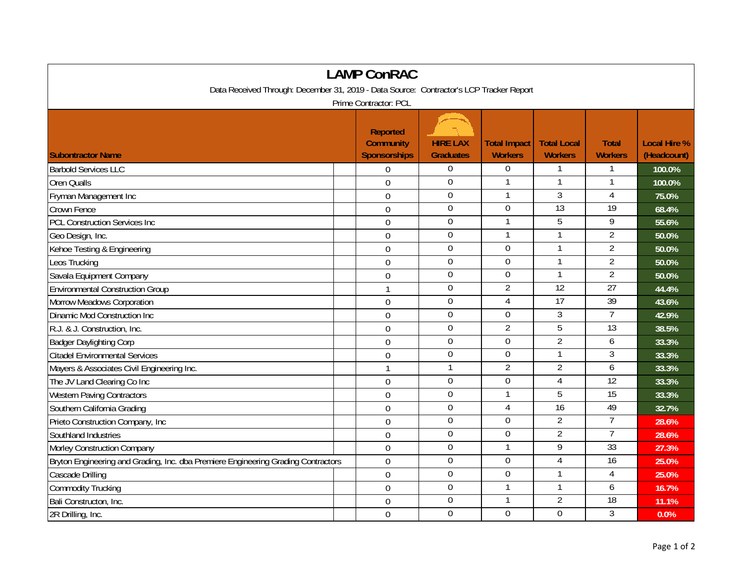| <b>LAMP ConRAC</b>                                                                      |  |                                                            |                                     |                                       |                                      |                                |                                    |  |  |  |  |  |
|-----------------------------------------------------------------------------------------|--|------------------------------------------------------------|-------------------------------------|---------------------------------------|--------------------------------------|--------------------------------|------------------------------------|--|--|--|--|--|
| Data Received Through: December 31, 2019 - Data Source: Contractor's LCP Tracker Report |  |                                                            |                                     |                                       |                                      |                                |                                    |  |  |  |  |  |
| Prime Contractor: PCL                                                                   |  |                                                            |                                     |                                       |                                      |                                |                                    |  |  |  |  |  |
| <b>Subontractor Name</b>                                                                |  | <b>Reported</b><br><b>Community</b><br><b>Sponsorships</b> | <b>HIRE LAX</b><br><b>Graduates</b> | <b>Total Impact</b><br><b>Workers</b> | <b>Total Local</b><br><b>Workers</b> | <b>Total</b><br><b>Workers</b> | <b>Local Hire %</b><br>(Headcount) |  |  |  |  |  |
| <b>Barbold Services LLC</b>                                                             |  | 0                                                          | $\boldsymbol{0}$                    | 0                                     |                                      |                                | 100.0%                             |  |  |  |  |  |
| <b>Oren Qualls</b>                                                                      |  | $\overline{0}$                                             | $\mathbf 0$                         | $\mathbf{1}$                          | $\mathbf{1}$                         | 1                              | 100.0%                             |  |  |  |  |  |
| Fryman Management Inc                                                                   |  | $\overline{0}$                                             | $\mathbf 0$                         |                                       | $\overline{3}$                       | $\overline{4}$                 | 75.0%                              |  |  |  |  |  |
| Crown Fence                                                                             |  | $\mathbf 0$                                                | $\Omega$                            | 0                                     | 13                                   | 19                             | 68.4%                              |  |  |  |  |  |
| <b>PCL Construction Services Inc</b>                                                    |  | $\mathbf 0$                                                | $\overline{0}$                      | 1                                     | 5                                    | 9                              | 55.6%                              |  |  |  |  |  |
| Geo Design, Inc.                                                                        |  | $\mathbf 0$                                                | $\boldsymbol{0}$                    | $\mathbf{1}$                          |                                      | $\overline{2}$                 | 50.0%                              |  |  |  |  |  |
| Kehoe Testing & Engineering                                                             |  | $\overline{0}$                                             | $\overline{0}$                      | $\overline{0}$                        |                                      | $\overline{2}$                 | 50.0%                              |  |  |  |  |  |
| Leos Trucking                                                                           |  | $\mathbf 0$                                                | $\boldsymbol{0}$                    | $\overline{0}$                        | $\mathbf{1}$                         | $\overline{2}$                 | 50.0%                              |  |  |  |  |  |
| Savala Equipment Company                                                                |  | $\mathbf 0$                                                | $\mathbf 0$                         | $\mathbf 0$                           | $\mathbf{1}$                         | $\overline{2}$                 | 50.0%                              |  |  |  |  |  |
| <b>Environmental Construction Group</b>                                                 |  | $\mathbf{1}$                                               | $\mathbf 0$                         | $\overline{2}$                        | $\overline{12}$                      | $\overline{27}$                | 44.4%                              |  |  |  |  |  |
| Morrow Meadows Corporation                                                              |  | $\mathbf 0$                                                | $\boldsymbol{0}$                    | 4                                     | 17                                   | 39                             | 43.6%                              |  |  |  |  |  |
| Dinamic Mod Construction Inc                                                            |  | $\mathbf 0$                                                | $\boldsymbol{0}$                    | 0                                     | $\mathfrak{Z}$                       | $\overline{7}$                 | 42.9%                              |  |  |  |  |  |
| R.J. & J. Construction, Inc.                                                            |  | $\mathbf 0$                                                | $\mathbf 0$                         | $\overline{2}$                        | 5                                    | 13                             | 38.5%                              |  |  |  |  |  |
| <b>Badger Daylighting Corp</b>                                                          |  | $\overline{0}$                                             | $\mathbf 0$                         | $\overline{0}$                        | $\overline{2}$                       | 6                              | 33.3%                              |  |  |  |  |  |
| <b>Citadel Environmental Services</b>                                                   |  | $\mathbf 0$                                                | $\overline{0}$                      | $\overline{0}$                        | 1                                    | 3                              | 33.3%                              |  |  |  |  |  |
| Mayers & Associates Civil Engineering Inc.                                              |  | $\mathbf{1}$                                               | $\mathbf{1}$                        | $\overline{2}$                        | $\overline{2}$                       | 6                              | 33.3%                              |  |  |  |  |  |
| The JV Land Clearing Co Inc                                                             |  | $\overline{0}$                                             | $\mathbf 0$                         | 0                                     | $\overline{4}$                       | 12                             | 33.3%                              |  |  |  |  |  |
| Western Paving Contractors                                                              |  | $\mathbf 0$                                                | $\overline{0}$                      | 1                                     | 5                                    | $\overline{15}$                | 33.3%                              |  |  |  |  |  |
| Southern California Grading                                                             |  | $\mathbf 0$                                                | $\mathbf 0$                         | 4                                     | $\overline{16}$                      | 49                             | 32.7%                              |  |  |  |  |  |
| Prieto Construction Company, Inc.                                                       |  | $\mathbf 0$                                                | $\boldsymbol{0}$                    | 0                                     | $\overline{2}$                       | $\overline{7}$                 | 28.6%                              |  |  |  |  |  |
| Southland Industries                                                                    |  | 0                                                          | $\mathbf 0$                         | $\mathbf 0$                           | $\overline{2}$                       | $\overline{7}$                 | 28.6%                              |  |  |  |  |  |
| Morley Construction Company                                                             |  | 0                                                          | $\mathbf 0$                         | $\mathbf{1}$                          | $\overline{9}$                       | 33                             | 27.3%                              |  |  |  |  |  |
| Bryton Engineering and Grading, Inc. dba Premiere Engineering Grading Contractors       |  | $\overline{0}$                                             | $\mathbf 0$                         | $\overline{0}$                        | $\overline{4}$                       | 16                             | 25.0%                              |  |  |  |  |  |
| Cascade Drilling                                                                        |  | $\mathbf 0$                                                | $\mathbf 0$                         | $\mathbf 0$                           |                                      | 4                              | 25.0%                              |  |  |  |  |  |
| <b>Commodity Trucking</b>                                                               |  | $\overline{0}$                                             | $\mathbf{0}$                        | $\mathbf{1}$                          | $\mathbf{1}$                         | 6                              | 16.7%                              |  |  |  |  |  |
| Bali Constructon, Inc.                                                                  |  | $\mathbf 0$                                                | $\mathbf 0$                         | $\mathbf{1}$                          | $\overline{2}$                       | 18                             | 11.1%                              |  |  |  |  |  |
| 2R Drilling, Inc.                                                                       |  | $\mathbf 0$                                                | $\mathbf 0$                         | $\mathbf 0$                           | $\overline{0}$                       | 3                              | 0.0%                               |  |  |  |  |  |